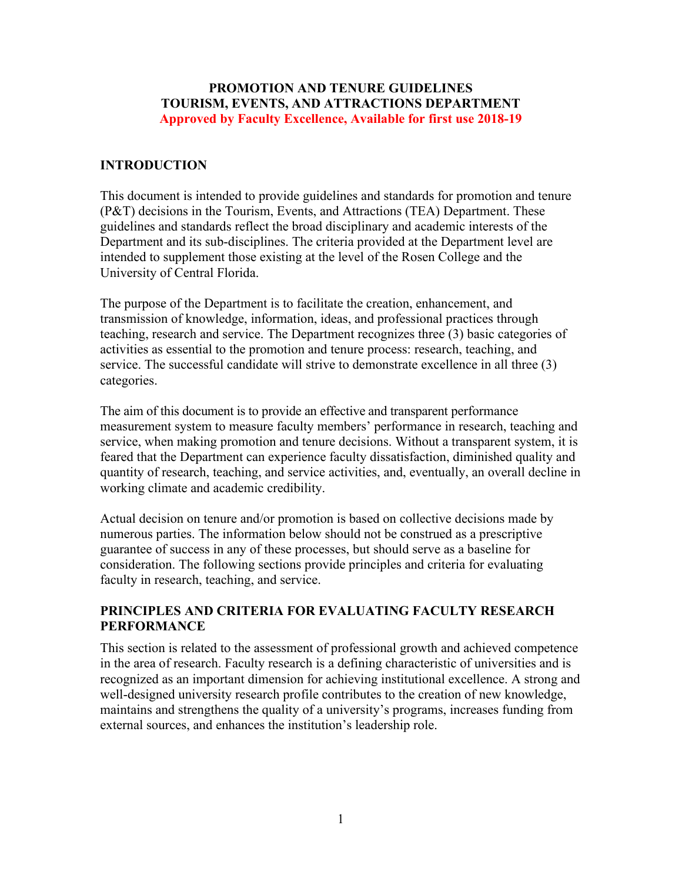#### **PROMOTION AND TENURE GUIDELINES TOURISM, EVENTS, AND ATTRACTIONS DEPARTMENT Approved by Faculty Excellence, Available for first use 2018-19**

#### **INTRODUCTION**

This document is intended to provide guidelines and standards for promotion and tenure (P&T) decisions in the Tourism, Events, and Attractions (TEA) Department. These guidelines and standards reflect the broad disciplinary and academic interests of the Department and its sub-disciplines. The criteria provided at the Department level are intended to supplement those existing at the level of the Rosen College and the University of Central Florida.

The purpose of the Department is to facilitate the creation, enhancement, and transmission of knowledge, information, ideas, and professional practices through teaching, research and service. The Department recognizes three (3) basic categories of activities as essential to the promotion and tenure process: research, teaching, and service. The successful candidate will strive to demonstrate excellence in all three (3) categories.

The aim of this document is to provide an effective and transparent performance measurement system to measure faculty members' performance in research, teaching and service, when making promotion and tenure decisions. Without a transparent system, it is feared that the Department can experience faculty dissatisfaction, diminished quality and quantity of research, teaching, and service activities, and, eventually, an overall decline in working climate and academic credibility.

Actual decision on tenure and/or promotion is based on collective decisions made by numerous parties. The information below should not be construed as a prescriptive guarantee of success in any of these processes, but should serve as a baseline for consideration. The following sections provide principles and criteria for evaluating faculty in research, teaching, and service.

## **PRINCIPLES AND CRITERIA FOR EVALUATING FACULTY RESEARCH PERFORMANCE**

This section is related to the assessment of professional growth and achieved competence in the area of research. Faculty research is a defining characteristic of universities and is recognized as an important dimension for achieving institutional excellence. A strong and well-designed university research profile contributes to the creation of new knowledge, maintains and strengthens the quality of a university's programs, increases funding from external sources, and enhances the institution's leadership role.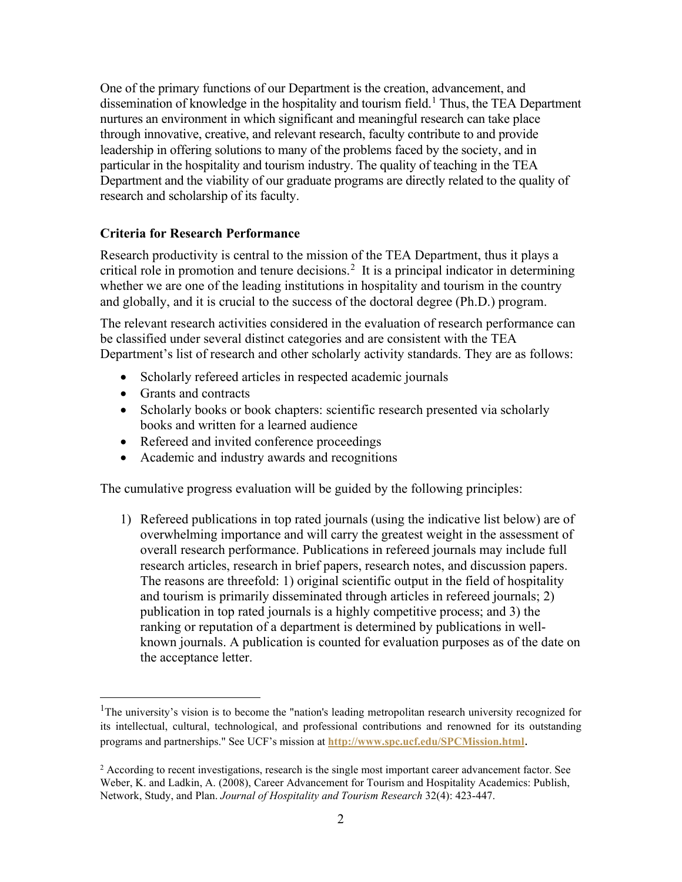One of the primary functions of our Department is the creation, advancement, and dissemination of knowledge in the hospitality and tourism field.<sup>[1](#page-1-0)</sup> Thus, the TEA Department nurtures an environment in which significant and meaningful research can take place through innovative, creative, and relevant research, faculty contribute to and provide leadership in offering solutions to many of the problems faced by the society, and in particular in the hospitality and tourism industry. The quality of teaching in the TEA Department and the viability of our graduate programs are directly related to the quality of research and scholarship of its faculty.

#### **Criteria for Research Performance**

Research productivity is central to the mission of the TEA Department, thus it plays a critical role in promotion and tenure decisions.<sup>[2](#page-1-1)</sup> It is a principal indicator in determining whether we are one of the leading institutions in hospitality and tourism in the country and globally, and it is crucial to the success of the doctoral degree (Ph.D.) program.

The relevant research activities considered in the evaluation of research performance can be classified under several distinct categories and are consistent with the TEA Department's list of research and other scholarly activity standards. They are as follows:

- Scholarly refereed articles in respected academic journals
- Grants and contracts
- Scholarly books or book chapters: scientific research presented via scholarly books and written for a learned audience
- Refereed and invited conference proceedings
- Academic and industry awards and recognitions

The cumulative progress evaluation will be guided by the following principles:

1) Refereed publications in top rated journals (using the indicative list below) are of overwhelming importance and will carry the greatest weight in the assessment of overall research performance. Publications in refereed journals may include full research articles, research in brief papers, research notes, and discussion papers. The reasons are threefold: 1) original scientific output in the field of hospitality and tourism is primarily disseminated through articles in refereed journals; 2) publication in top rated journals is a highly competitive process; and 3) the ranking or reputation of a department is determined by publications in wellknown journals. A publication is counted for evaluation purposes as of the date on the acceptance letter.

<span id="page-1-0"></span><sup>&</sup>lt;sup>1</sup>The university's vision is to become the "nation's leading metropolitan research university recognized for its intellectual, cultural, technological, and professional contributions and renowned for its outstanding programs and partnerships." See UCF's mission at **<http://www.spc.ucf.edu/SPCMission.html>**.

<span id="page-1-1"></span><sup>&</sup>lt;sup>2</sup> According to recent investigations, research is the single most important career advancement factor. See Weber, K. and Ladkin, A. (2008), Career Advancement for Tourism and Hospitality Academics: Publish, Network, Study, and Plan. *Journal of Hospitality and Tourism Research* 32(4): 423-447.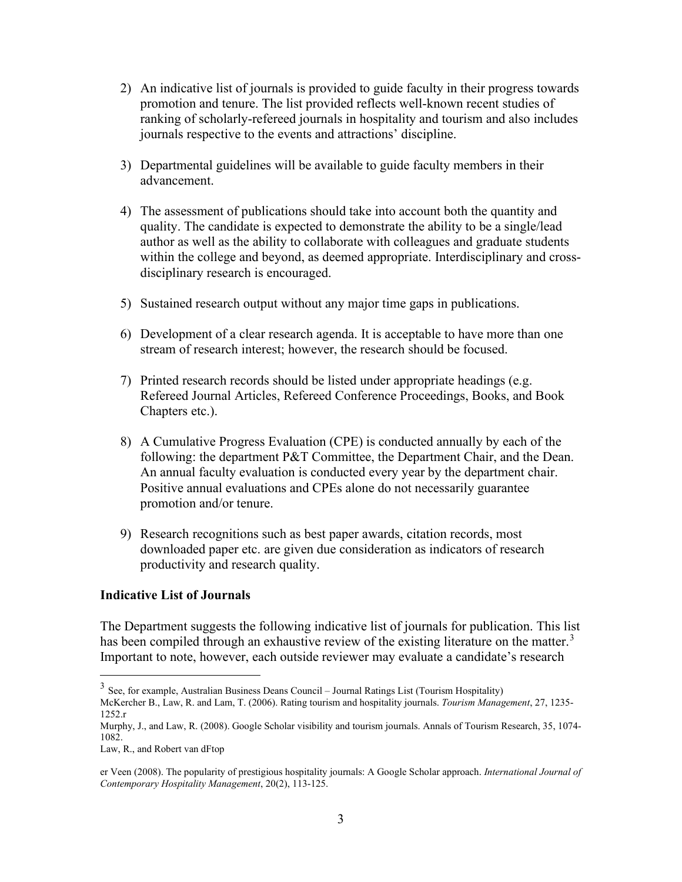- 2) An indicative list of journals is provided to guide faculty in their progress towards promotion and tenure. The list provided reflects well-known recent studies of ranking of scholarly-refereed journals in hospitality and tourism and also includes journals respective to the events and attractions' discipline.
- 3) Departmental guidelines will be available to guide faculty members in their advancement.
- 4) The assessment of publications should take into account both the quantity and quality. The candidate is expected to demonstrate the ability to be a single/lead author as well as the ability to collaborate with colleagues and graduate students within the college and beyond, as deemed appropriate. Interdisciplinary and crossdisciplinary research is encouraged.
- 5) Sustained research output without any major time gaps in publications.
- 6) Development of a clear research agenda. It is acceptable to have more than one stream of research interest; however, the research should be focused.
- 7) Printed research records should be listed under appropriate headings (e.g. Refereed Journal Articles, Refereed Conference Proceedings, Books, and Book Chapters etc.).
- 8) A Cumulative Progress Evaluation (CPE) is conducted annually by each of the following: the department P&T Committee, the Department Chair, and the Dean. An annual faculty evaluation is conducted every year by the department chair. Positive annual evaluations and CPEs alone do not necessarily guarantee promotion and/or tenure.
- 9) Research recognitions such as best paper awards, citation records, most downloaded paper etc. are given due consideration as indicators of research productivity and research quality.

#### **Indicative List of Journals**

The Department suggests the following indicative list of journals for publication. This list has been compiled through an exhaustive review of the existing literature on the matter.<sup>[3](#page-2-0)</sup> Important to note, however, each outside reviewer may evaluate a candidate's research

<span id="page-2-0"></span><sup>&</sup>lt;sup>3</sup> See, for example, Australian Business Deans Council – Journal Ratings List (Tourism Hospitality)

McKercher B., Law, R. and Lam, T. (2006). Rating tourism and hospitality journals. *Tourism Management*, 27, 1235- 1252.r

Murphy, J., and Law, R. (2008). Google Scholar visibility and tourism journals. Annals of Tourism Research, 35, 1074- 1082.

Law, R., and Robert van dFtop

er Veen (2008). The popularity of prestigious hospitality journals: A Google Scholar approach. *International Journal of Contemporary Hospitality Management*, 20(2), 113-125.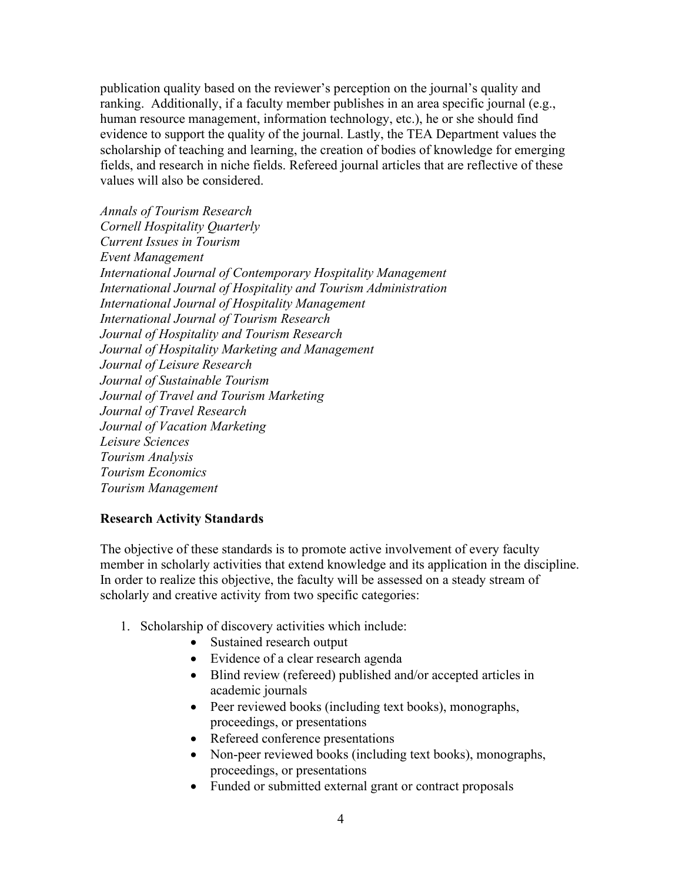publication quality based on the reviewer's perception on the journal's quality and ranking. Additionally, if a faculty member publishes in an area specific journal (e.g., human resource management, information technology, etc.), he or she should find evidence to support the quality of the journal. Lastly, the TEA Department values the scholarship of teaching and learning, the creation of bodies of knowledge for emerging fields, and research in niche fields. Refereed journal articles that are reflective of these values will also be considered.

*Annals of Tourism Research Cornell Hospitality Quarterly Current Issues in Tourism Event Management International Journal of Contemporary Hospitality Management International Journal of Hospitality and Tourism Administration International Journal of Hospitality Management International Journal of Tourism Research Journal of Hospitality and Tourism Research Journal of Hospitality Marketing and Management Journal of Leisure Research Journal of Sustainable Tourism Journal of Travel and Tourism Marketing Journal of Travel Research Journal of Vacation Marketing Leisure Sciences Tourism Analysis Tourism Economics Tourism Management*

#### **Research Activity Standards**

The objective of these standards is to promote active involvement of every faculty member in scholarly activities that extend knowledge and its application in the discipline. In order to realize this objective, the faculty will be assessed on a steady stream of scholarly and creative activity from two specific categories:

- 1. Scholarship of discovery activities which include:
	- Sustained research output
	- Evidence of a clear research agenda
	- Blind review (refereed) published and/or accepted articles in academic journals
	- Peer reviewed books (including text books), monographs, proceedings, or presentations
	- Refereed conference presentations
	- Non-peer reviewed books (including text books), monographs, proceedings, or presentations
	- Funded or submitted external grant or contract proposals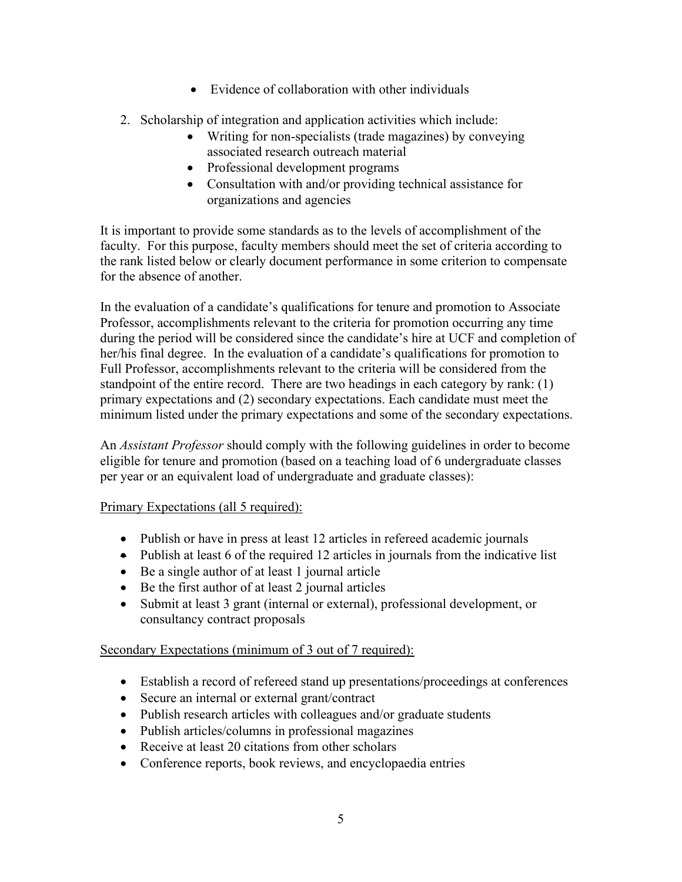- Evidence of collaboration with other individuals
- 2. Scholarship of integration and application activities which include:
	- Writing for non-specialists (trade magazines) by conveying associated research outreach material
	- Professional development programs
	- Consultation with and/or providing technical assistance for organizations and agencies

It is important to provide some standards as to the levels of accomplishment of the faculty. For this purpose, faculty members should meet the set of criteria according to the rank listed below or clearly document performance in some criterion to compensate for the absence of another.

In the evaluation of a candidate's qualifications for tenure and promotion to Associate Professor, accomplishments relevant to the criteria for promotion occurring any time during the period will be considered since the candidate's hire at UCF and completion of her/his final degree. In the evaluation of a candidate's qualifications for promotion to Full Professor, accomplishments relevant to the criteria will be considered from the standpoint of the entire record. There are two headings in each category by rank: (1) primary expectations and (2) secondary expectations. Each candidate must meet the minimum listed under the primary expectations and some of the secondary expectations.

An *Assistant Professor* should comply with the following guidelines in order to become eligible for tenure and promotion (based on a teaching load of 6 undergraduate classes per year or an equivalent load of undergraduate and graduate classes):

# Primary Expectations (all 5 required):

- Publish or have in press at least 12 articles in refereed academic journals
- Publish at least 6 of the required 12 articles in journals from the indicative list
- Be a single author of at least 1 journal article
- Be the first author of at least 2 journal articles
- Submit at least 3 grant (internal or external), professional development, or consultancy contract proposals

## Secondary Expectations (minimum of 3 out of 7 required):

- Establish a record of refereed stand up presentations/proceedings at conferences
- Secure an internal or external grant/contract
- Publish research articles with colleagues and/or graduate students
- Publish articles/columns in professional magazines
- Receive at least 20 citations from other scholars
- Conference reports, book reviews, and encyclopaedia entries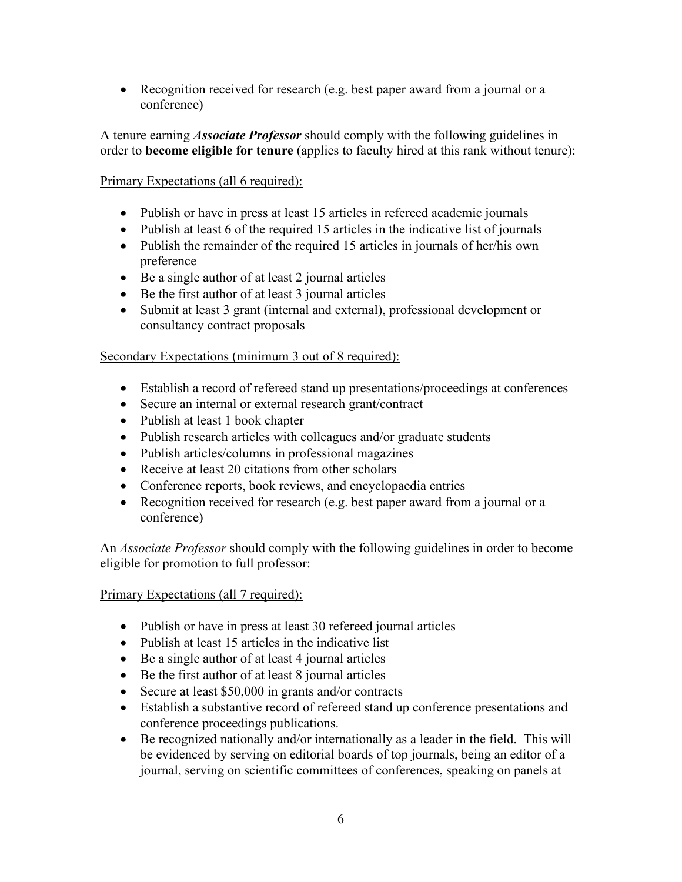• Recognition received for research (e.g. best paper award from a journal or a conference)

A tenure earning *Associate Professor* should comply with the following guidelines in order to **become eligible for tenure** (applies to faculty hired at this rank without tenure):

## Primary Expectations (all 6 required):

- Publish or have in press at least 15 articles in refereed academic journals
- Publish at least 6 of the required 15 articles in the indicative list of journals
- Publish the remainder of the required 15 articles in journals of her/his own preference
- Be a single author of at least 2 journal articles
- Be the first author of at least 3 journal articles
- Submit at least 3 grant (internal and external), professional development or consultancy contract proposals

## Secondary Expectations (minimum 3 out of 8 required):

- Establish a record of refereed stand up presentations/proceedings at conferences
- Secure an internal or external research grant/contract
- Publish at least 1 book chapter
- Publish research articles with colleagues and/or graduate students
- Publish articles/columns in professional magazines
- Receive at least 20 citations from other scholars
- Conference reports, book reviews, and encyclopaedia entries
- Recognition received for research (e.g. best paper award from a journal or a conference)

An *Associate Professor* should comply with the following guidelines in order to become eligible for promotion to full professor:

## Primary Expectations (all 7 required):

- Publish or have in press at least 30 refereed journal articles
- Publish at least 15 articles in the indicative list
- Be a single author of at least 4 journal articles
- Be the first author of at least 8 journal articles
- Secure at least \$50,000 in grants and/or contracts
- Establish a substantive record of refereed stand up conference presentations and conference proceedings publications.
- Be recognized nationally and/or internationally as a leader in the field. This will be evidenced by serving on editorial boards of top journals, being an editor of a journal, serving on scientific committees of conferences, speaking on panels at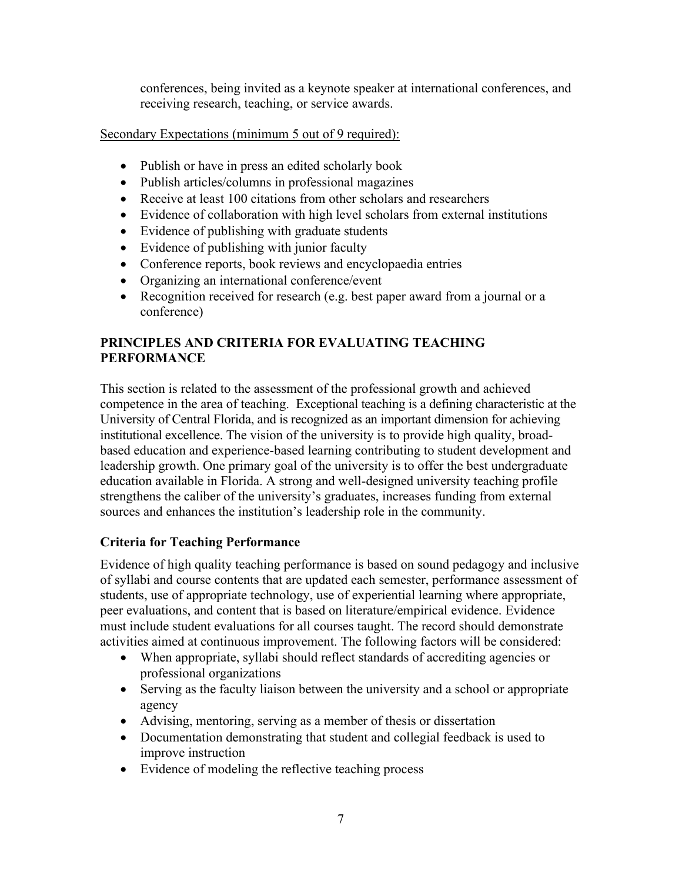conferences, being invited as a keynote speaker at international conferences, and receiving research, teaching, or service awards.

## Secondary Expectations (minimum 5 out of 9 required):

- Publish or have in press an edited scholarly book
- Publish articles/columns in professional magazines
- Receive at least 100 citations from other scholars and researchers
- Evidence of collaboration with high level scholars from external institutions
- Evidence of publishing with graduate students
- Evidence of publishing with junior faculty
- Conference reports, book reviews and encyclopaedia entries
- Organizing an international conference/event
- Recognition received for research (e.g. best paper award from a journal or a conference)

# **PRINCIPLES AND CRITERIA FOR EVALUATING TEACHING PERFORMANCE**

This section is related to the assessment of the professional growth and achieved competence in the area of teaching. Exceptional teaching is a defining characteristic at the University of Central Florida, and is recognized as an important dimension for achieving institutional excellence. The vision of the university is to provide high quality, broadbased education and experience-based learning contributing to student development and leadership growth. One primary goal of the university is to offer the best undergraduate education available in Florida. A strong and well-designed university teaching profile strengthens the caliber of the university's graduates, increases funding from external sources and enhances the institution's leadership role in the community.

# **Criteria for Teaching Performance**

Evidence of high quality teaching performance is based on sound pedagogy and inclusive of syllabi and course contents that are updated each semester, performance assessment of students, use of appropriate technology, use of experiential learning where appropriate, peer evaluations, and content that is based on literature/empirical evidence. Evidence must include student evaluations for all courses taught. The record should demonstrate activities aimed at continuous improvement. The following factors will be considered:

- When appropriate, syllabi should reflect standards of accrediting agencies or professional organizations
- Serving as the faculty liaison between the university and a school or appropriate agency
- Advising, mentoring, serving as a member of thesis or dissertation
- Documentation demonstrating that student and collegial feedback is used to improve instruction
- Evidence of modeling the reflective teaching process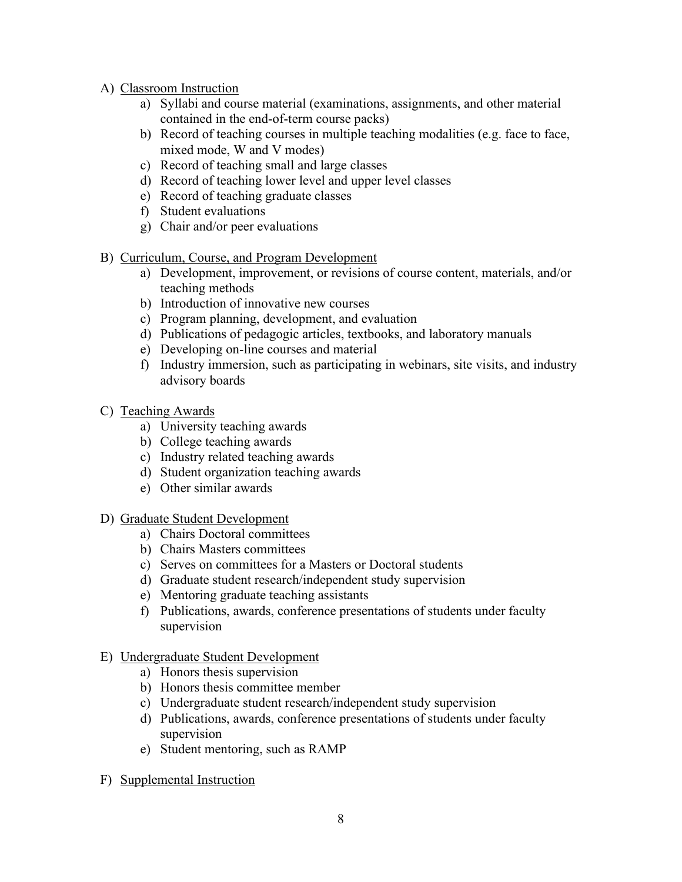- A) Classroom Instruction
	- a) Syllabi and course material (examinations, assignments, and other material contained in the end-of-term course packs)
	- b) Record of teaching courses in multiple teaching modalities (e.g. face to face, mixed mode, W and V modes)
	- c) Record of teaching small and large classes
	- d) Record of teaching lower level and upper level classes
	- e) Record of teaching graduate classes
	- f) Student evaluations
	- g) Chair and/or peer evaluations
- B) Curriculum, Course, and Program Development
	- a) Development, improvement, or revisions of course content, materials, and/or teaching methods
	- b) Introduction of innovative new courses
	- c) Program planning, development, and evaluation
	- d) Publications of pedagogic articles, textbooks, and laboratory manuals
	- e) Developing on-line courses and material
	- f) Industry immersion, such as participating in webinars, site visits, and industry advisory boards
- C) Teaching Awards
	- a) University teaching awards
	- b) College teaching awards
	- c) Industry related teaching awards
	- d) Student organization teaching awards
	- e) Other similar awards
- D) Graduate Student Development
	- a) Chairs Doctoral committees
	- b) Chairs Masters committees
	- c) Serves on committees for a Masters or Doctoral students
	- d) Graduate student research/independent study supervision
	- e) Mentoring graduate teaching assistants
	- f) Publications, awards, conference presentations of students under faculty supervision
- E) Undergraduate Student Development
	- a) Honors thesis supervision
	- b) Honors thesis committee member
	- c) Undergraduate student research/independent study supervision
	- d) Publications, awards, conference presentations of students under faculty supervision
	- e) Student mentoring, such as RAMP
- F) Supplemental Instruction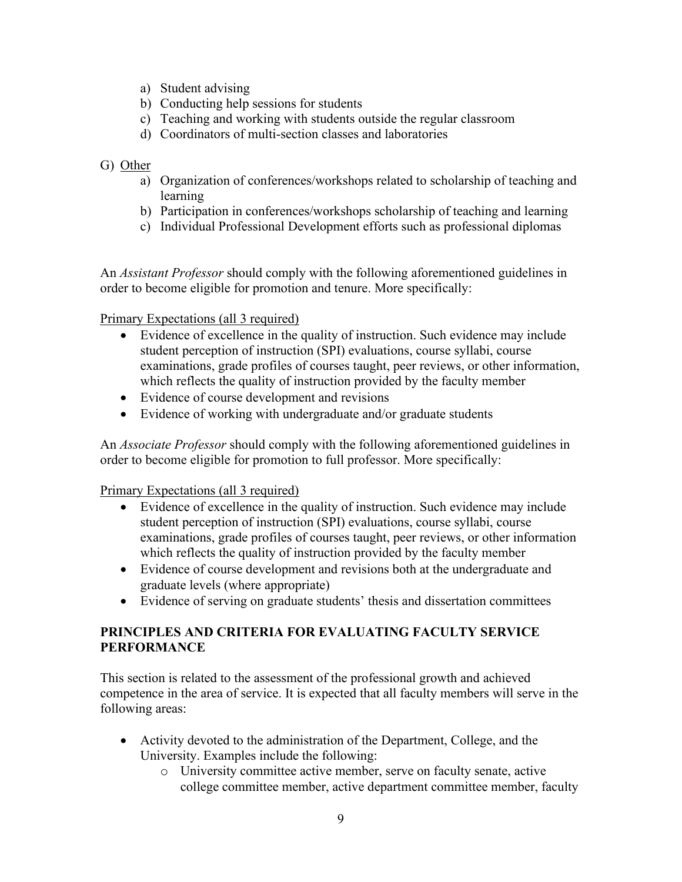- a) Student advising
- b) Conducting help sessions for students
- c) Teaching and working with students outside the regular classroom
- d) Coordinators of multi-section classes and laboratories

#### G) Other

- a) Organization of conferences/workshops related to scholarship of teaching and learning
- b) Participation in conferences/workshops scholarship of teaching and learning
- c) Individual Professional Development efforts such as professional diplomas

An *Assistant Professor* should comply with the following aforementioned guidelines in order to become eligible for promotion and tenure. More specifically:

Primary Expectations (all 3 required)

- Evidence of excellence in the quality of instruction. Such evidence may include student perception of instruction (SPI) evaluations, course syllabi, course examinations, grade profiles of courses taught, peer reviews, or other information, which reflects the quality of instruction provided by the faculty member
- Evidence of course development and revisions
- Evidence of working with undergraduate and/or graduate students

An *Associate Professor* should comply with the following aforementioned guidelines in order to become eligible for promotion to full professor. More specifically:

#### Primary Expectations (all 3 required)

- Evidence of excellence in the quality of instruction. Such evidence may include student perception of instruction (SPI) evaluations, course syllabi, course examinations, grade profiles of courses taught, peer reviews, or other information which reflects the quality of instruction provided by the faculty member
- Evidence of course development and revisions both at the undergraduate and graduate levels (where appropriate)
- Evidence of serving on graduate students' thesis and dissertation committees

## **PRINCIPLES AND CRITERIA FOR EVALUATING FACULTY SERVICE PERFORMANCE**

This section is related to the assessment of the professional growth and achieved competence in the area of service. It is expected that all faculty members will serve in the following areas:

- Activity devoted to the administration of the Department, College, and the University. Examples include the following:
	- o University committee active member, serve on faculty senate, active college committee member, active department committee member, faculty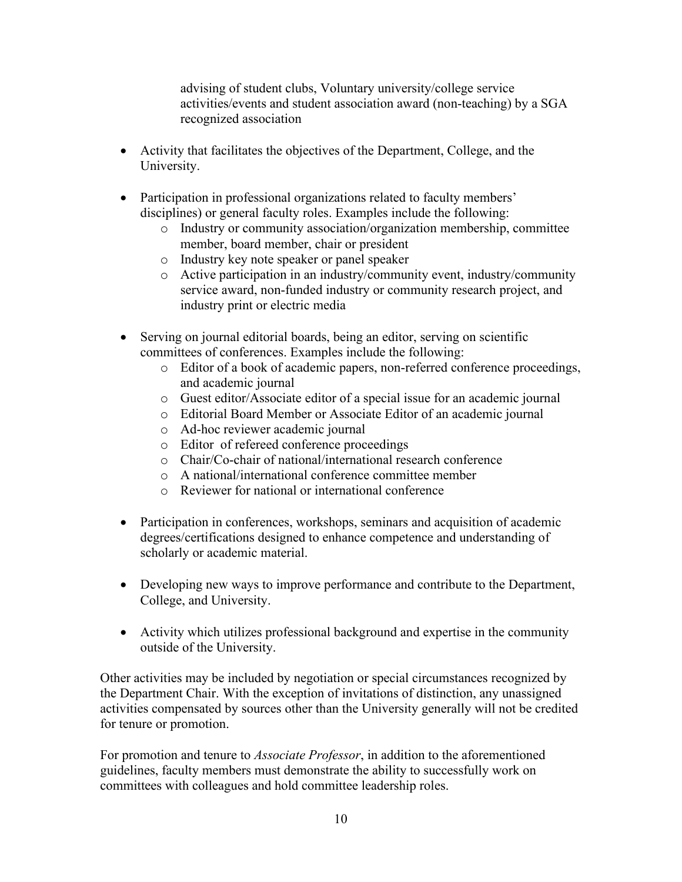advising of student clubs, Voluntary university/college service activities/events and student association award (non-teaching) by a SGA recognized association

- Activity that facilitates the objectives of the Department, College, and the University.
- Participation in professional organizations related to faculty members' disciplines) or general faculty roles. Examples include the following:
	- o Industry or community association/organization membership, committee member, board member, chair or president
	- o Industry key note speaker or panel speaker
	- o Active participation in an industry/community event, industry/community service award, non-funded industry or community research project, and industry print or electric media
- Serving on journal editorial boards, being an editor, serving on scientific committees of conferences. Examples include the following:
	- o Editor of a book of academic papers, non-referred conference proceedings, and academic journal
	- o Guest editor/Associate editor of a special issue for an academic journal
	- o Editorial Board Member or Associate Editor of an academic journal
	- o Ad-hoc reviewer academic journal
	- o Editor of refereed conference proceedings
	- o Chair/Co-chair of national/international research conference
	- o A national/international conference committee member
	- o Reviewer for national or international conference
- Participation in conferences, workshops, seminars and acquisition of academic degrees/certifications designed to enhance competence and understanding of scholarly or academic material.
- Developing new ways to improve performance and contribute to the Department, College, and University.
- Activity which utilizes professional background and expertise in the community outside of the University.

Other activities may be included by negotiation or special circumstances recognized by the Department Chair. With the exception of invitations of distinction, any unassigned activities compensated by sources other than the University generally will not be credited for tenure or promotion.

For promotion and tenure to *Associate Professor*, in addition to the aforementioned guidelines, faculty members must demonstrate the ability to successfully work on committees with colleagues and hold committee leadership roles.